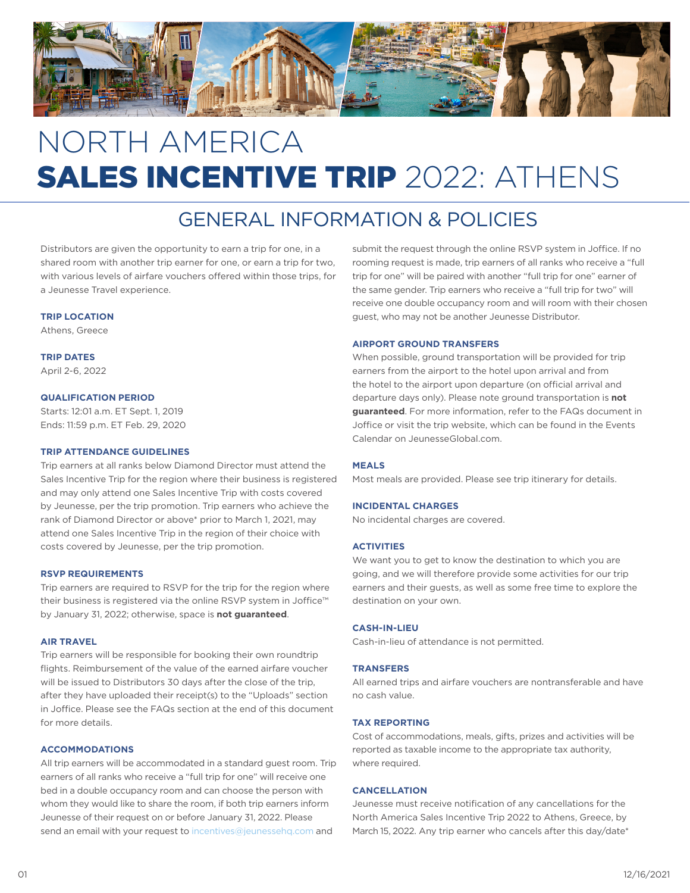

# NORTH AMERICA SALES INCENTIVE TRIP 2022: ATHENS

## GENERAL INFORMATION & POLICIES

Distributors are given the opportunity to earn a trip for one, in a shared room with another trip earner for one, or earn a trip for two, with various levels of airfare vouchers offered within those trips, for a Jeunesse Travel experience.

#### **TRIP LOCATION**

Athens, Greece

**TRIP DATES**  April 2-6, 2022

#### **QUALIFICATION PERIOD**

Starts: 12:01 a.m. ET Sept. 1, 2019 Ends: 11:59 p.m. ET Feb. 29, 2020

#### **TRIP ATTENDANCE GUIDELINES**

Trip earners at all ranks below Diamond Director must attend the Sales Incentive Trip for the region where their business is registered and may only attend one Sales Incentive Trip with costs covered by Jeunesse, per the trip promotion. Trip earners who achieve the rank of Diamond Director or above\* prior to March 1, 2021, may attend one Sales Incentive Trip in the region of their choice with costs covered by Jeunesse, per the trip promotion.

#### **RSVP REQUIREMENTS**

Trip earners are required to RSVP for the trip for the region where their business is registered via the online RSVP system in Joffice™ by January 31, 2022; otherwise, space is **not guaranteed**.

#### **AIR TRAVEL**

Trip earners will be responsible for booking their own roundtrip flights. Reimbursement of the value of the earned airfare voucher will be issued to Distributors 30 days after the close of the trip, after they have uploaded their receipt(s) to the "Uploads" section in Joffice. Please see the FAQs section at the end of this document for more details.

#### **ACCOMMODATIONS**

All trip earners will be accommodated in a standard guest room. Trip earners of all ranks who receive a "full trip for one" will receive one bed in a double occupancy room and can choose the person with whom they would like to share the room, if both trip earners inform Jeunesse of their request on or before January 31, 2022. Please send an email with your request to incentives@jeunessehq.com and

submit the request through the online RSVP system in Joffice. If no rooming request is made, trip earners of all ranks who receive a "full trip for one" will be paired with another "full trip for one" earner of the same gender. Trip earners who receive a "full trip for two" will receive one double occupancy room and will room with their chosen guest, who may not be another Jeunesse Distributor.

#### **AIRPORT GROUND TRANSFERS**

When possible, ground transportation will be provided for trip earners from the airport to the hotel upon arrival and from the hotel to the airport upon departure (on official arrival and departure days only). Please note ground transportation is **not guaranteed**. For more information, refer to the FAQs document in Joffice or visit the trip website, which can be found in the Events Calendar on JeunesseGlobal.com.

#### **MEALS**

Most meals are provided. Please see trip itinerary for details.

#### **INCIDENTAL CHARGES**

No incidental charges are covered.

#### **ACTIVITIES**

We want you to get to know the destination to which you are going, and we will therefore provide some activities for our trip earners and their guests, as well as some free time to explore the destination on your own.

#### **CASH-IN-LIEU**

Cash-in-lieu of attendance is not permitted.

#### **TRANSFERS**

All earned trips and airfare vouchers are nontransferable and have no cash value.

#### **TAX REPORTING**

Cost of accommodations, meals, gifts, prizes and activities will be reported as taxable income to the appropriate tax authority, where required.

#### **CANCELLATION**

Jeunesse must receive notification of any cancellations for the North America Sales Incentive Trip 2022 to Athens, Greece, by March 15, 2022. Any trip earner who cancels after this day/date\*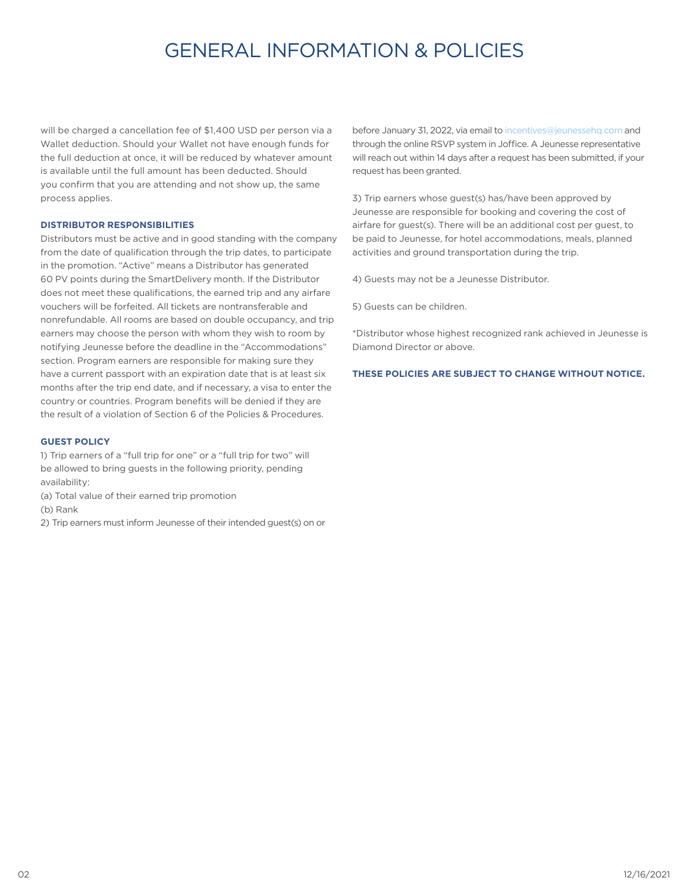## GENERAL INFORMATION & POLICIES

will be charged a cancellation fee of \$1,400 USD per person via a Wallet deduction. Should your Wallet not have enough funds for the full deduction at once, it will be reduced by whatever amount is available until the full amount has been deducted. Should you confirm that you are attending and not show up, the same process applies.

#### **DISTRIBUTOR RESPONSIBILITIES**

Distributors must be active and in good standing with the company from the date of qualification through the trip dates, to participate in the promotion. "Active" means a Distributor has generated 60 PV points during the SmartDelivery month. If the Distributor does not meet these qualifications, the earned trip and any airfare vouchers will be forfeited. All tickets are nontransferable and nonrefundable. All rooms are based on double occupancy, and trip earners may choose the person with whom they wish to room by notifying Jeunesse before the deadline in the "Accommodations" section. Program earners are responsible for making sure they have a current passport with an expiration date that is at least six months after the trip end date, and if necessary, a visa to enter the country or countries. Program benefits will be denied if they are the result of a violation of Section 6 of the Policies & Procedures.

#### **GUEST POLICY**

1) Trip earners of a "full trip for one" or a "full trip for two" will be allowed to bring guests in the following priority, pending availability:

(a) Total value of their earned trip promotion

(b) Rank

2) Trip earners must inform Jeunesse of their intended guest(s) on or

before January 31, 2022, via email to incentives@jeunessehq.com and through the online RSVP system in Joffice. A Jeunesse representative will reach out within 14 days after a request has been submitted, if your request has been granted.

3) Trip earners whose guest(s) has/have been approved by Jeunesse are responsible for booking and covering the cost of airfare for guest(s). There will be an additional cost per guest, to be paid to Jeunesse, for hotel accommodations, meals, planned activities and ground transportation during the trip.

4) Guests may not be a Jeunesse Distributor.

5) Guests can be children.

\*Distributor whose highest recognized rank achieved in Jeunesse is Diamond Director or above.

**THESE POLICIES ARE SUBJECT TO CHANGE WITHOUT NOTICE.**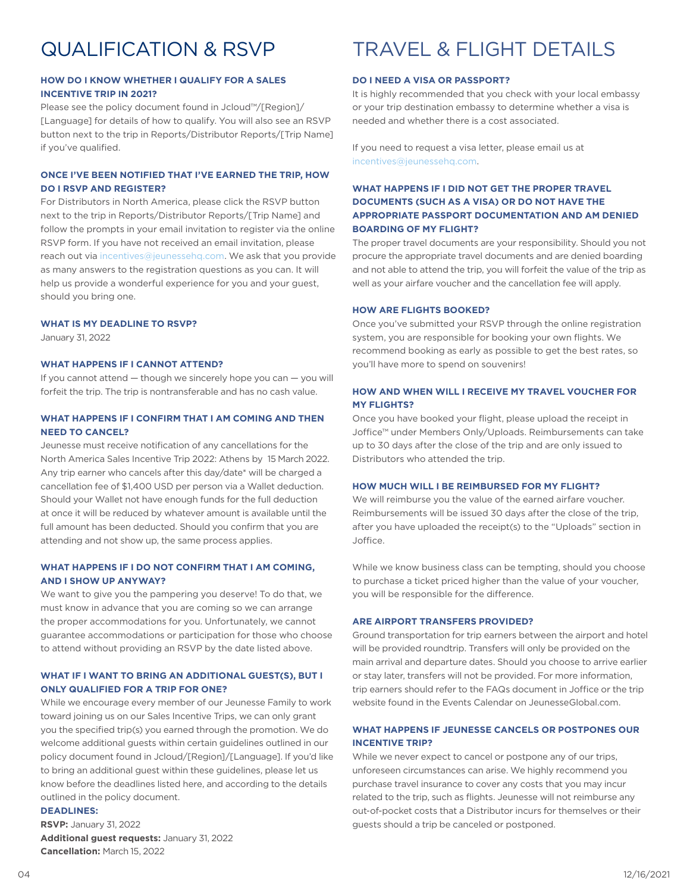## QUALIFICATION & RSVP

#### **HOW DO I KNOW WHETHER I QUALIFY FOR A SALES INCENTIVE TRIP IN 2021?**

Please see the policy document found in Jcloud™/[Region]/ [Language] for details of how to qualify. You will also see an RSVP button next to the trip in Reports/Distributor Reports/[Trip Name] if you've qualified.

#### **ONCE I'VE BEEN NOTIFIED THAT I'VE EARNED THE TRIP, HOW DO I RSVP AND REGISTER?**

For Distributors in North America, please click the RSVP button next to the trip in Reports/Distributor Reports/[Trip Name] and follow the prompts in your email invitation to register via the online RSVP form. If you have not received an email invitation, please reach out via incentives@jeunessehq.com. We ask that you provide as many answers to the registration questions as you can. It will help us provide a wonderful experience for you and your guest, should you bring one.

#### **WHAT IS MY DEADLINE TO RSVP?**

January 31, 2022

#### **WHAT HAPPENS IF I CANNOT ATTEND?**

If you cannot attend — though we sincerely hope you can — you will forfeit the trip. The trip is nontransferable and has no cash value.

#### **WHAT HAPPENS IF I CONFIRM THAT I AM COMING AND THEN NEED TO CANCEL?**

Jeunesse must receive notification of any cancellations for the North America Sales Incentive Trip 2022: Athens by 15 March 2022. Any trip earner who cancels after this day/date\* will be charged a cancellation fee of \$1,400 USD per person via a Wallet deduction. Should your Wallet not have enough funds for the full deduction at once it will be reduced by whatever amount is available until the full amount has been deducted. Should you confirm that you are attending and not show up, the same process applies.

#### **WHAT HAPPENS IF I DO NOT CONFIRM THAT I AM COMING, AND I SHOW UP ANYWAY?**

We want to give you the pampering you deserve! To do that, we must know in advance that you are coming so we can arrange the proper accommodations for you. Unfortunately, we cannot guarantee accommodations or participation for those who choose to attend without providing an RSVP by the date listed above.

#### **WHAT IF I WANT TO BRING AN ADDITIONAL GUEST(S), BUT I ONLY QUALIFIED FOR A TRIP FOR ONE?**

While we encourage every member of our Jeunesse Family to work toward joining us on our Sales Incentive Trips, we can only grant you the specified trip(s) you earned through the promotion. We do welcome additional guests within certain guidelines outlined in our policy document found in Jcloud/[Region]/[Language]. If you'd like to bring an additional guest within these guidelines, please let us know before the deadlines listed here, and according to the details outlined in the policy document.

#### **DEADLINES:**

**RSVP:** January 31, 2022 **Additional guest requests:** January 31, 2022 **Cancellation:** March 15, 2022

## TRAVEL & FLIGHT DETAILS

#### **DO I NEED A VISA OR PASSPORT?**

It is highly recommended that you check with your local embassy or your trip destination embassy to determine whether a visa is needed and whether there is a cost associated.

If you need to request a visa letter, please email us at incentives@jeunessehq.com.

#### **WHAT HAPPENS IF I DID NOT GET THE PROPER TRAVEL DOCUMENTS (SUCH AS A VISA) OR DO NOT HAVE THE APPROPRIATE PASSPORT DOCUMENTATION AND AM DENIED BOARDING OF MY FLIGHT?**

The proper travel documents are your responsibility. Should you not procure the appropriate travel documents and are denied boarding and not able to attend the trip, you will forfeit the value of the trip as well as your airfare voucher and the cancellation fee will apply.

#### **HOW ARE FLIGHTS BOOKED?**

Once you've submitted your RSVP through the online registration system, you are responsible for booking your own flights. We recommend booking as early as possible to get the best rates, so you'll have more to spend on souvenirs!

#### **HOW AND WHEN WILL I RECEIVE MY TRAVEL VOUCHER FOR MY FLIGHTS?**

Once you have booked your flight, please upload the receipt in Joffice™ under Members Only/Uploads. Reimbursements can take up to 30 days after the close of the trip and are only issued to Distributors who attended the trip.

#### **HOW MUCH WILL I BE REIMBURSED FOR MY FLIGHT?**

We will reimburse you the value of the earned airfare voucher. Reimbursements will be issued 30 days after the close of the trip, after you have uploaded the receipt(s) to the "Uploads" section in Joffice.

While we know business class can be tempting, should you choose to purchase a ticket priced higher than the value of your voucher, you will be responsible for the difference.

#### **ARE AIRPORT TRANSFERS PROVIDED?**

Ground transportation for trip earners between the airport and hotel will be provided roundtrip. Transfers will only be provided on the main arrival and departure dates. Should you choose to arrive earlier or stay later, transfers will not be provided. For more information, trip earners should refer to the FAQs document in Joffice or the trip website found in the Events Calendar on JeunesseGlobal.com.

#### **WHAT HAPPENS IF JEUNESSE CANCELS OR POSTPONES OUR INCENTIVE TRIP?**

While we never expect to cancel or postpone any of our trips, unforeseen circumstances can arise. We highly recommend you purchase travel insurance to cover any costs that you may incur related to the trip, such as flights. Jeunesse will not reimburse any out-of-pocket costs that a Distributor incurs for themselves or their guests should a trip be canceled or postponed.